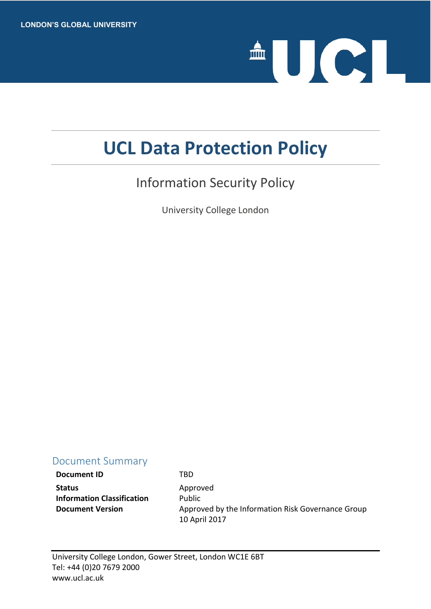

# **UCL Data Protection Policy**

## Information Security Policy

University College London

## Document Summary

**Document ID** TBD Status **Approved Information Classification** Public

**Document Version** Approved by the Information Risk Governance Group 10 April 2017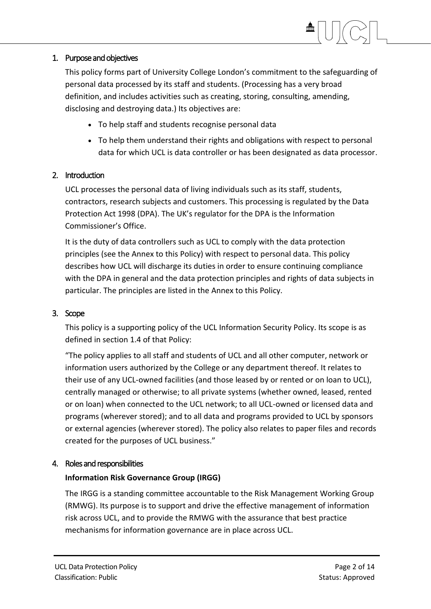## 1. Purpose and objectives

This policy forms part of University College London's commitment to the safeguarding of personal data processed by its staff and students. (Processing has a very broad definition, and includes activities such as creating, storing, consulting, amending, disclosing and destroying data.) Its objectives are:

- To help staff and students recognise personal data
- To help them understand their rights and obligations with respect to personal data for which UCL is data controller or has been designated as data processor.

## 2. Introduction

UCL processes the personal data of living individuals such as its staff, students, contractors, research subjects and customers. This processing is regulated by the Data Protection Act 1998 (DPA). The UK's regulator for the DPA is the Information Commissioner's Office.

It is the duty of data controllers such as UCL to comply with the data protection principles (see the Annex to this Policy) with respect to personal data. This policy describes how UCL will discharge its duties in order to ensure continuing compliance with the DPA in general and the data protection principles and rights of data subjects in particular. The principles are listed in the Annex to this Policy.

## 3. Scope

This policy is a supporting policy of the UCL Information Security Policy. Its scope is as defined in section 1.4 of that Policy:

"The policy applies to all staff and students of UCL and all other computer, network or information users authorized by the College or any department thereof. It relates to their use of any UCL-owned facilities (and those leased by or rented or on loan to UCL), centrally managed or otherwise; to all private systems (whether owned, leased, rented or on loan) when connected to the UCL network; to all UCL-owned or licensed data and programs (wherever stored); and to all data and programs provided to UCL by sponsors or external agencies (wherever stored). The policy also relates to paper files and records created for the purposes of UCL business."

## 4. Roles and responsibilities

## **Information Risk Governance Group (IRGG)**

The IRGG is a standing committee accountable to the Risk Management Working Group (RMWG). Its purpose is to support and drive the effective management of information risk across UCL, and to provide the RMWG with the assurance that best practice mechanisms for information governance are in place across UCL.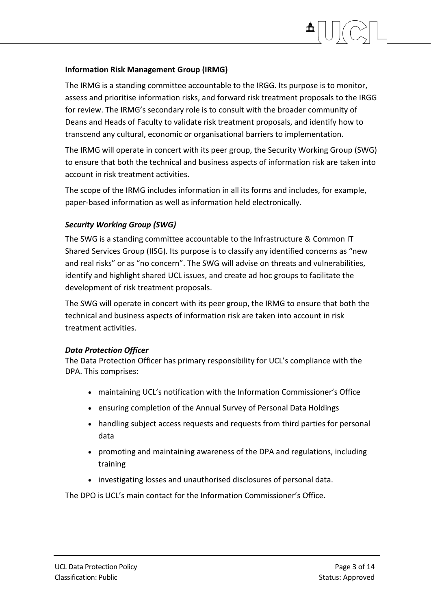## **Information Risk Management Group (IRMG)**

The IRMG is a standing committee accountable to the IRGG. Its purpose is to monitor, assess and prioritise information risks, and forward risk treatment proposals to the IRGG for review. The IRMG's secondary role is to consult with the broader community of Deans and Heads of Faculty to validate risk treatment proposals, and identify how to transcend any cultural, economic or organisational barriers to implementation.

The IRMG will operate in concert with its peer group, the Security Working Group (SWG) to ensure that both the technical and business aspects of information risk are taken into account in risk treatment activities.

The scope of the IRMG includes information in all its forms and includes, for example, paper-based information as well as information held electronically.

## *Security Working Group (SWG)*

The SWG is a standing committee accountable to the Infrastructure & Common IT Shared Services Group (IISG). Its purpose is to classify any identified concerns as "new and real risks" or as "no concern". The SWG will advise on threats and vulnerabilities, identify and highlight shared UCL issues, and create ad hoc groups to facilitate the development of risk treatment proposals.

The SWG will operate in concert with its peer group, the IRMG to ensure that both the technical and business aspects of information risk are taken into account in risk treatment activities.

## *Data Protection Officer*

The Data Protection Officer has primary responsibility for UCL's compliance with the DPA. This comprises:

- maintaining UCL's notification with the Information Commissioner's Office
- ensuring completion of the Annual Survey of Personal Data Holdings
- handling subject access requests and requests from third parties for personal data
- promoting and maintaining awareness of the DPA and regulations, including training
- investigating losses and unauthorised disclosures of personal data.

The DPO is UCL's main contact for the Information Commissioner's Office.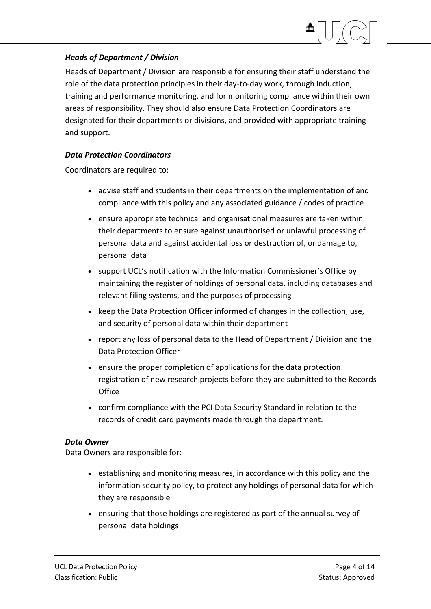## *Heads of Department / Division*

Heads of Department / Division are responsible for ensuring their staff understand the role of the data protection principles in their day-to-day work, through induction, training and performance monitoring, and for monitoring compliance within their own areas of responsibility. They should also ensure Data Protection Coordinators are designated for their departments or divisions, and provided with appropriate training and support.

## *Data Protection Coordinators*

Coordinators are required to:

- advise staff and students in their departments on the implementation of and compliance with this policy and any associated guidance / codes of practice
- ensure appropriate technical and organisational measures are taken within their departments to ensure against unauthorised or unlawful processing of personal data and against accidental loss or destruction of, or damage to, personal data
- support UCL's notification with the Information Commissioner's Office by maintaining the register of holdings of personal data, including databases and relevant filing systems, and the purposes of processing
- keep the Data Protection Officer informed of changes in the collection, use, and security of personal data within their department
- report any loss of personal data to the Head of Department / Division and the Data Protection Officer
- ensure the proper completion of applications for the data protection registration of new research projects before they are submitted to the Records **Office**
- confirm compliance with the PCI Data Security Standard in relation to the records of credit card payments made through the department.

## *Data Owner*

Data Owners are responsible for:

- establishing and monitoring measures, in accordance with this policy and the information security policy, to protect any holdings of personal data for which they are responsible
- ensuring that those holdings are registered as part of the annual survey of personal data holdings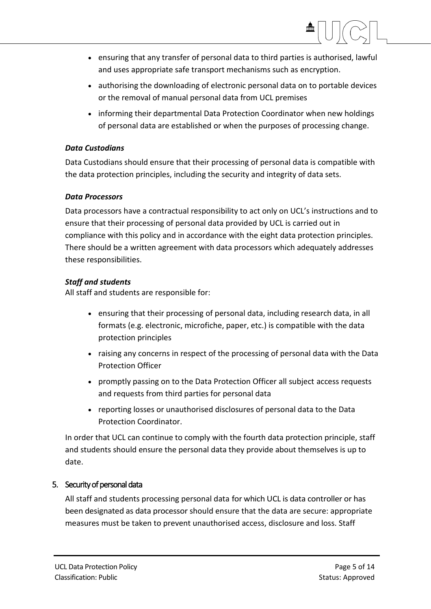

- ensuring that any transfer of personal data to third parties is authorised, lawful and uses appropriate safe transport mechanisms such as encryption.
- authorising the downloading of electronic personal data on to portable devices or the removal of manual personal data from UCL premises
- informing their departmental Data Protection Coordinator when new holdings of personal data are established or when the purposes of processing change.

## *Data Custodians*

Data Custodians should ensure that their processing of personal data is compatible with the data protection principles, including the security and integrity of data sets.

## *Data Processors*

Data processors have a contractual responsibility to act only on UCL's instructions and to ensure that their processing of personal data provided by UCL is carried out in compliance with this policy and in accordance with the eight data protection principles. There should be a written agreement with data processors which adequately addresses these responsibilities.

## *Staff and students*

All staff and students are responsible for:

- ensuring that their processing of personal data, including research data, in all formats (e.g. electronic, microfiche, paper, etc.) is compatible with the data protection principles
- raising any concerns in respect of the processing of personal data with the Data Protection Officer
- promptly passing on to the Data Protection Officer all subject access requests and requests from third parties for personal data
- reporting losses or unauthorised disclosures of personal data to the Data Protection Coordinator.

In order that UCL can continue to comply with the fourth data protection principle, staff and students should ensure the personal data they provide about themselves is up to date.

## 5. Security of personal data

All staff and students processing personal data for which UCL is data controller or has been designated as data processor should ensure that the data are secure: appropriate measures must be taken to prevent unauthorised access, disclosure and loss. Staff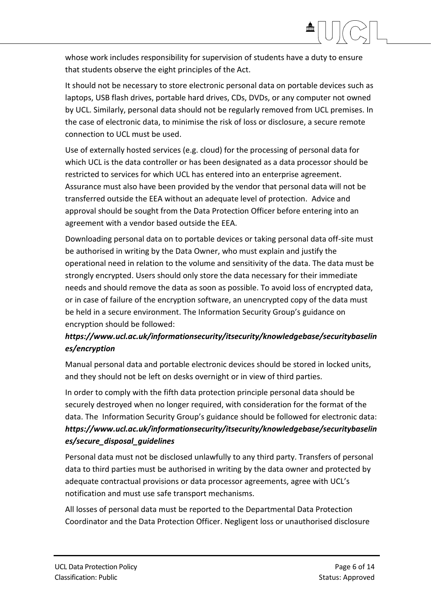whose work includes responsibility for supervision of students have a duty to ensure that students observe the eight principles of the Act.

It should not be necessary to store electronic personal data on portable devices such as laptops, USB flash drives, portable hard drives, CDs, DVDs, or any computer not owned by UCL. Similarly, personal data should not be regularly removed from UCL premises. In the case of electronic data, to minimise the risk of loss or disclosure, a secure remote connection to UCL must be used.

Use of externally hosted services (e.g. cloud) for the processing of personal data for which UCL is the data controller or has been designated as a data processor should be restricted to services for which UCL has entered into an enterprise agreement. Assurance must also have been provided by the vendor that personal data will not be transferred outside the EEA without an adequate level of protection. Advice and approval should be sought from the Data Protection Officer before entering into an agreement with a vendor based outside the EEA.

Downloading personal data on to portable devices or taking personal data off-site must be authorised in writing by the Data Owner, who must explain and justify the operational need in relation to the volume and sensitivity of the data. The data must be strongly encrypted. Users should only store the data necessary for their immediate needs and should remove the data as soon as possible. To avoid loss of encrypted data, or in case of failure of the encryption software, an unencrypted copy of the data must be held in a secure environment. The Information Security Group's guidance on encryption should be followed:

## *https://www.ucl.ac.uk/informationsecurity/itsecurity/knowledgebase/securitybaselin es/encryption*

Manual personal data and portable electronic devices should be stored in locked units, and they should not be left on desks overnight or in view of third parties.

In order to comply with the fifth data protection principle personal data should be securely destroyed when no longer required, with consideration for the format of the data. The Information Security Group's guidance should be followed for electronic data: *https://www.ucl.ac.uk/informationsecurity/itsecurity/knowledgebase/securitybaselin es/secure\_disposal\_guidelines*

Personal data must not be disclosed unlawfully to any third party. Transfers of personal data to third parties must be authorised in writing by the data owner and protected by adequate contractual provisions or data processor agreements, agree with UCL's notification and must use safe transport mechanisms.

All losses of personal data must be reported to the Departmental Data Protection Coordinator and the Data Protection Officer. Negligent loss or unauthorised disclosure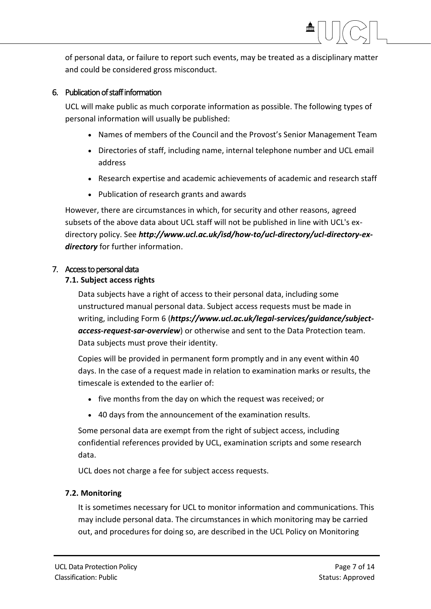of personal data, or failure to report such events, may be treated as a disciplinary matter and could be considered gross misconduct.

## 6. Publication of staff information

UCL will make public as much corporate information as possible. The following types of personal information will usually be published:

- Names of members of the Council and the Provost's Senior Management Team
- Directories of staff, including name, internal telephone number and UCL email address
- Research expertise and academic achievements of academic and research staff
- Publication of research grants and awards

However, there are circumstances in which, for security and other reasons, agreed subsets of the above data about UCL staff will not be published in line with UCL's exdirectory policy. See *http://www.ucl.ac.uk/isd/how-to/ucl-directory/ucl-directory-exdirectory* for further information.

## 7. Access to personal data

## **7.1. Subject access rights**

Data subjects have a right of access to their personal data, including some unstructured manual personal data. Subject access requests must be made in writing, including Form 6 (*https://www.ucl.ac.uk/legal-services/guidance/subjectaccess-request-sar-overview*) or otherwise and sent to the Data Protection team. Data subjects must prove their identity.

Copies will be provided in permanent form promptly and in any event within 40 days. In the case of a request made in relation to examination marks or results, the timescale is extended to the earlier of:

- five months from the day on which the request was received; or
- 40 days from the announcement of the examination results.

Some personal data are exempt from the right of subject access, including confidential references provided by UCL, examination scripts and some research data.

UCL does not charge a fee for subject access requests.

## **7.2. Monitoring**

It is sometimes necessary for UCL to monitor information and communications. This may include personal data. The circumstances in which monitoring may be carried out, and procedures for doing so, are described in the UCL Policy on Monitoring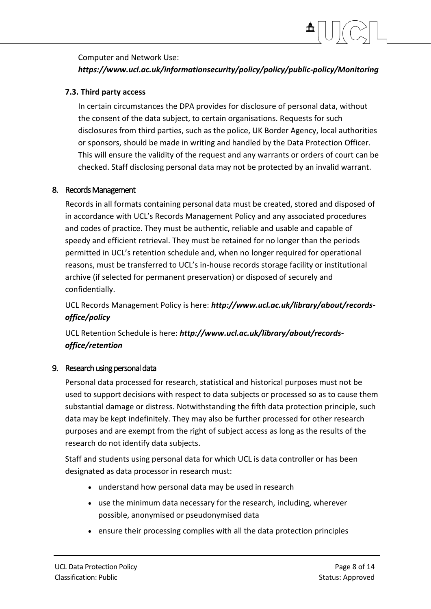## Computer and Network Use:

## *https://www.ucl.ac.uk/informationsecurity/policy/policy/public-policy/Monitoring*

## **7.3. Third party access**

In certain circumstances the DPA provides for disclosure of personal data, without the consent of the data subject, to certain organisations. Requests for such disclosures from third parties, such as the police, UK Border Agency, local authorities or sponsors, should be made in writing and handled by the Data Protection Officer. This will ensure the validity of the request and any warrants or orders of court can be checked. Staff disclosing personal data may not be protected by an invalid warrant.

## 8. Records Management

Records in all formats containing personal data must be created, stored and disposed of in accordance with UCL's Records Management Policy and any associated procedures and codes of practice. They must be authentic, reliable and usable and capable of speedy and efficient retrieval. They must be retained for no longer than the periods permitted in UCL's retention schedule and, when no longer required for operational reasons, must be transferred to UCL's in-house records storage facility or institutional archive (if selected for permanent preservation) or disposed of securely and confidentially.

UCL Records Management Policy is here: *http://www.ucl.ac.uk/library/about/recordsoffice/policy*

UCL Retention Schedule is here: *http://www.ucl.ac.uk/library/about/recordsoffice/retention*

## 9. Research using personal data

Personal data processed for research, statistical and historical purposes must not be used to support decisions with respect to data subjects or processed so as to cause them substantial damage or distress. Notwithstanding the fifth data protection principle, such data may be kept indefinitely. They may also be further processed for other research purposes and are exempt from the right of subject access as long as the results of the research do not identify data subjects.

Staff and students using personal data for which UCL is data controller or has been designated as data processor in research must:

- understand how personal data may be used in research
- use the minimum data necessary for the research, including, wherever possible, anonymised or pseudonymised data
- ensure their processing complies with all the data protection principles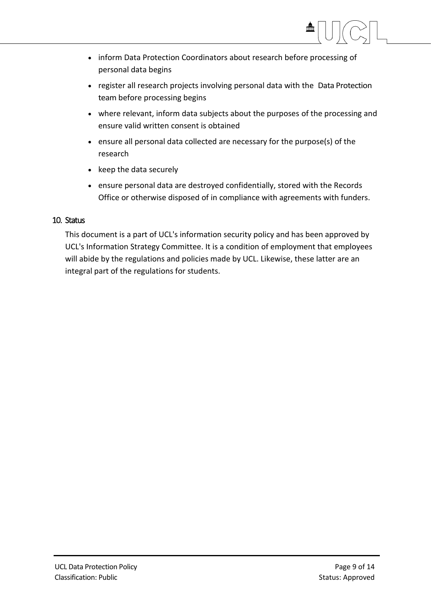- inform Data Protection Coordinators about research before processing of personal data begins
- register all research projects involving personal data with the Data Protection team before processing begins
- where relevant, inform data subjects about the purposes of the processing and ensure valid written consent is obtained
- ensure all personal data collected are necessary for the purpose(s) of the research
- $\bullet$  keep the data securely
- ensure personal data are destroyed confidentially, stored with the Records Office or otherwise disposed of in compliance with agreements with funders.

## 10. Status

This document is a part of UCL's information security policy and has been approved by UCL's Information Strategy Committee. It is a condition of employment that employees will abide by the regulations and policies made by UCL. Likewise, these latter are an integral part of the regulations for students.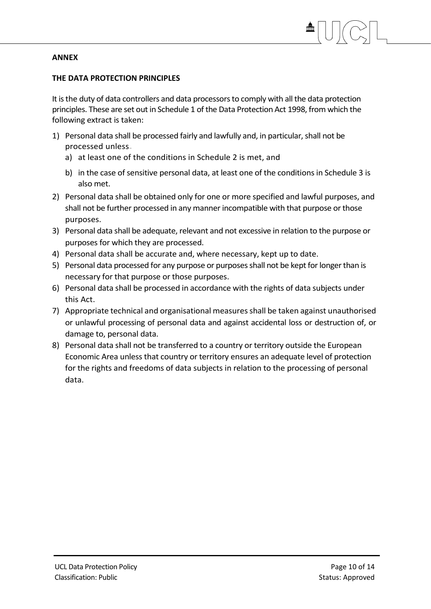## **ANNEX**

## **THE DATA PROTECTION PRINCIPLES**

It is the duty of data controllers and data processors to comply with all the data protection principles. These are set out in Schedule 1 of the Data Protection Act 1998, from which the following extract is taken:

- 1) Personal data shall be processed fairly and lawfully and, in particular, shall not be processed unless
	- a) at least one of the conditions in Schedule 2 is met, and
	- b) in the case of sensitive personal data, at least one of the conditions in Schedule 3 is also met.
- 2) Personal data shall be obtained only for one or more specified and lawful purposes, and shall not be further processed in any manner incompatible with that purpose or those purposes.
- 3) Personal data shall be adequate, relevant and not excessive in relation to the purpose or purposes for which they are processed.
- 4) Personal data shall be accurate and, where necessary, kept up to date.
- 5) Personal data processed for any purpose or purposes shall not be kept for longer than is necessary for that purpose or those purposes.
- 6) Personal data shall be processed in accordance with the rights of data subjects under this Act.
- 7) Appropriate technical and organisational measures shall be taken against unauthorised or unlawful processing of personal data and against accidental loss or destruction of, or damage to, personal data.
- 8) Personal data shall not be transferred to a country or territory outside the European Economic Area unless that country or territory ensures an adequate level of protection for the rights and freedoms of data subjects in relation to the processing of personal data.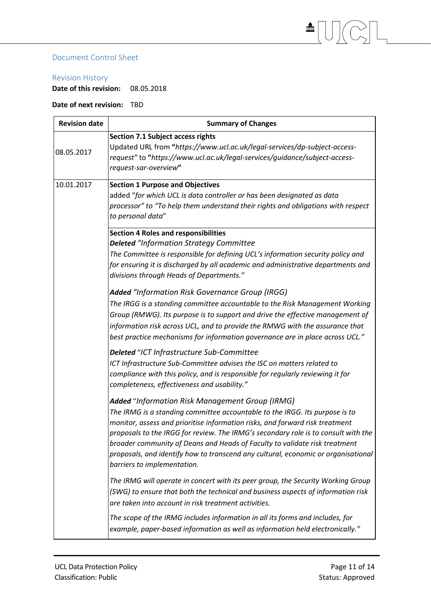## Document Control Sheet

#### Revision History

**Date of this revision:** 08.05.2018

## **Date of next revision:** TBD

| <b>Revision date</b> | <b>Summary of Changes</b>                                                                                                                                                                                                                                                                                                                                                                                                                                                                              |
|----------------------|--------------------------------------------------------------------------------------------------------------------------------------------------------------------------------------------------------------------------------------------------------------------------------------------------------------------------------------------------------------------------------------------------------------------------------------------------------------------------------------------------------|
| 08.05.2017           | <b>Section 7.1 Subject access rights</b><br>Updated URL from "https://www.ucl.ac.uk/legal-services/dp-subject-access-<br>request" to "https://www.ucl.ac.uk/legal-services/guidance/subject-access-<br>request-sar-overview"                                                                                                                                                                                                                                                                           |
| 10.01.2017           | <b>Section 1 Purpose and Objectives</b><br>added "for which UCL is data controller or has been designated as data<br>processor" to "To help them understand their rights and obligations with respect<br>to personal data"                                                                                                                                                                                                                                                                             |
|                      | <b>Section 4 Roles and responsibilities</b><br><b>Deleted</b> "Information Strategy Committee<br>The Committee is responsible for defining UCL's information security policy and<br>for ensuring it is discharged by all academic and administrative departments and<br>divisions through Heads of Departments."                                                                                                                                                                                       |
|                      | Added "Information Risk Governance Group (IRGG)<br>The IRGG is a standing committee accountable to the Risk Management Working<br>Group (RMWG). Its purpose is to support and drive the effective management of<br>information risk across UCL, and to provide the RMWG with the assurance that<br>best practice mechanisms for information governance are in place across UCL."                                                                                                                       |
|                      | Deleted "ICT Infrastructure Sub-Committee<br>ICT Infrastructure Sub-Committee advises the ISC on matters related to<br>compliance with this policy, and is responsible for regularly reviewing it for<br>completeness, effectiveness and usability."                                                                                                                                                                                                                                                   |
|                      | Added "Information Risk Management Group (IRMG)<br>The IRMG is a standing committee accountable to the IRGG. Its purpose is to<br>monitor, assess and prioritise information risks, and forward risk treatment<br>proposals to the IRGG for review. The IRMG's secondary role is to consult with the<br>broader community of Deans and Heads of Faculty to validate risk treatment<br>proposals, and identify how to transcend any cultural, economic or organisational<br>barriers to implementation. |
|                      | The IRMG will operate in concert with its peer group, the Security Working Group<br>(SWG) to ensure that both the technical and business aspects of information risk<br>are taken into account in risk treatment activities.<br>The scope of the IRMG includes information in all its forms and includes, for                                                                                                                                                                                          |
|                      | example, paper-based information as well as information held electronically."                                                                                                                                                                                                                                                                                                                                                                                                                          |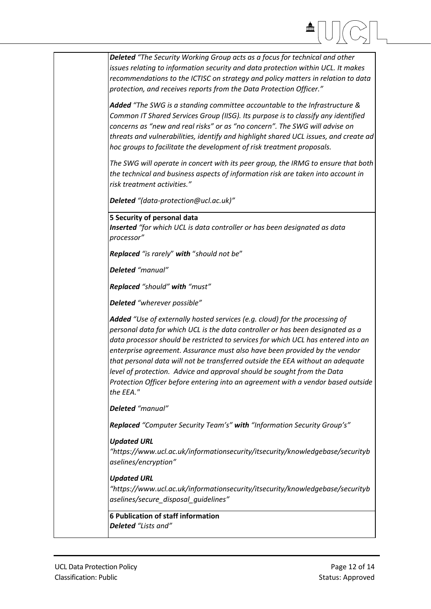*Deleted "The Security Working Group acts as a focus for technical and other issues relating to information security and data protection within UCL. It makes recommendations to the ICTISC on strategy and policy matters in relation to data protection, and receives reports from the Data Protection Officer." Added "The SWG is a standing committee accountable to the Infrastructure & Common IT Shared Services Group (IISG). Its purpose is to classify any identified concerns as "new and real risks" or as "no concern". The SWG will advise on threats and vulnerabilities, identify and highlight shared UCL issues, and create ad hoc groups to facilitate the development of risk treatment proposals. The SWG will operate in concert with its peer group, the IRMG to ensure that both the technical and business aspects of information risk are taken into account in risk treatment activities." Deleted "(data-protection@ucl.ac.uk)"* **5 Security of personal data** *Inserted "for which UCL is data controller or has been designated as data processor" Replaced "is rarely*" *with* "*should not be*" *Deleted "manual" Replaced "should" with "must" Deleted "wherever possible" Added "Use of externally hosted services (e.g. cloud) for the processing of personal data for which UCL is the data controller or has been designated as a data processor should be restricted to services for which UCL has entered into an enterprise agreement. Assurance must also have been provided by the vendor that personal data will not be transferred outside the EEA without an adequate level of protection. Advice and approval should be sought from the Data Protection Officer before entering into an agreement with a vendor based outside the EEA." Deleted "manual" Replaced "Computer Security Team's" with "Information Security Group's" Updated URL "https://www.ucl.ac.uk/informationsecurity/itsecurity/knowledgebase/securityb aselines/encryption" Updated URL "https://www.ucl.ac.uk/informationsecurity/itsecurity/knowledgebase/securityb aselines/secure\_disposal\_guidelines"* **6 Publication of staff information** *Deleted "Lists and"*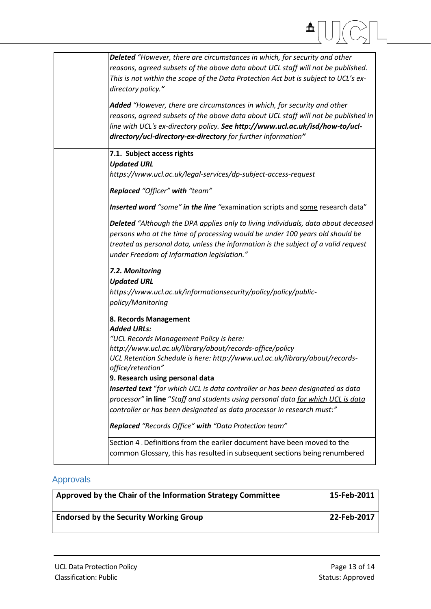| m                                                                                                                                                                                                                                                                                                                                                                                                                                                                                                                                                                                               |  |
|-------------------------------------------------------------------------------------------------------------------------------------------------------------------------------------------------------------------------------------------------------------------------------------------------------------------------------------------------------------------------------------------------------------------------------------------------------------------------------------------------------------------------------------------------------------------------------------------------|--|
| Deleted "However, there are circumstances in which, for security and other<br>reasons, agreed subsets of the above data about UCL staff will not be published.<br>This is not within the scope of the Data Protection Act but is subject to UCL's ex-<br>directory policy."<br>Added "However, there are circumstances in which, for security and other<br>reasons, agreed subsets of the above data about UCL staff will not be published in<br>line with UCL's ex-directory policy. See http://www.ucl.ac.uk/isd/how-to/ucl-<br>directory/ucl-directory-ex-directory for further information" |  |
| 7.1. Subject access rights<br><b>Updated URL</b><br>https://www.ucl.ac.uk/legal-services/dp-subject-access-request<br>Replaced "Officer" with "team"                                                                                                                                                                                                                                                                                                                                                                                                                                            |  |
| Inserted word "some" in the line "examination scripts and some research data"<br>Deleted "Although the DPA applies only to living individuals, data about deceased<br>persons who at the time of processing would be under 100 years old should be<br>treated as personal data, unless the information is the subject of a valid request<br>under Freedom of Information legislation."                                                                                                                                                                                                          |  |
| 7.2. Monitoring<br><b>Updated URL</b><br>https://www.ucl.ac.uk/informationsecurity/policy/policy/public-<br>policy/Monitoring                                                                                                                                                                                                                                                                                                                                                                                                                                                                   |  |
| 8. Records Management<br><b>Added URLs:</b><br>"UCL Records Management Policy is here:<br>http://www.ucl.ac.uk/library/about/records-office/policy<br>UCL Retention Schedule is here: http://www.ucl.ac.uk/library/about/records-<br>office/retention"                                                                                                                                                                                                                                                                                                                                          |  |
| 9. Research using personal data<br>Inserted text "for which UCL is data controller or has been designated as data<br>processor" in line "Staff and students using personal data for which UCL is data<br>controller or has been designated as data processor in research must:"<br>Replaced "Records Office" with "Data Protection team"                                                                                                                                                                                                                                                        |  |
| Section 4 Definitions from the earlier document have been moved to the<br>common Glossary, this has resulted in subsequent sections being renumbered                                                                                                                                                                                                                                                                                                                                                                                                                                            |  |

## Approvals

 $\mathbf{I}$ 

| Approved by the Chair of the Information Strategy Committee | 15-Feb-2011 |
|-------------------------------------------------------------|-------------|
| <b>Endorsed by the Security Working Group</b>               | 22-Feb-2017 |